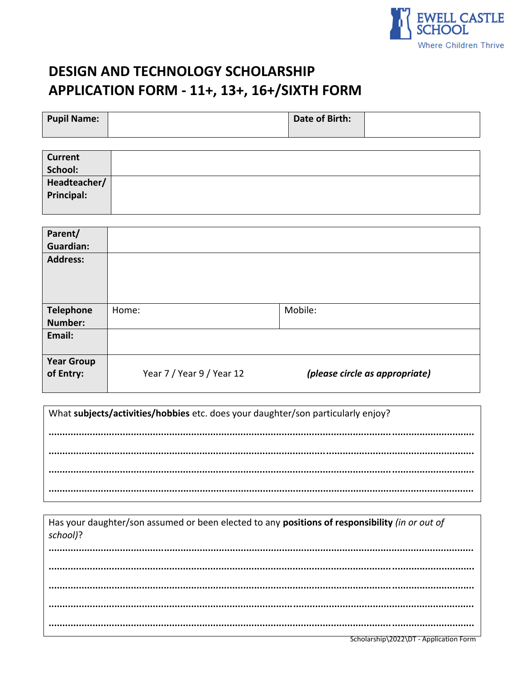

# **DESIGN AND TECHNOLOGY SCHOLARSHIP** APPLICATION FORM - 11+, 13+, 16+/SIXTH FORM

| <b>Pupil Name:</b> | Date of Birth: |  |
|--------------------|----------------|--|
|                    |                |  |

| <b>Current</b>    |  |
|-------------------|--|
| School:           |  |
| Headteacher/      |  |
| <b>Principal:</b> |  |
|                   |  |

| Parent/<br><b>Guardian:</b>    |                           |                                |
|--------------------------------|---------------------------|--------------------------------|
| <b>Address:</b>                |                           |                                |
| <b>Telephone</b>               | Home:                     | Mobile:                        |
| Number:                        |                           |                                |
| Email:                         |                           |                                |
| <b>Year Group</b><br>of Entry: | Year 7 / Year 9 / Year 12 | (please circle as appropriate) |

What subjects/activities/hobbies etc. does your daughter/son particularly enjoy?

Has your daughter/son assumed or been elected to any positions of responsibility (in or out of school)?

Scholarship\2022\DT - Application Form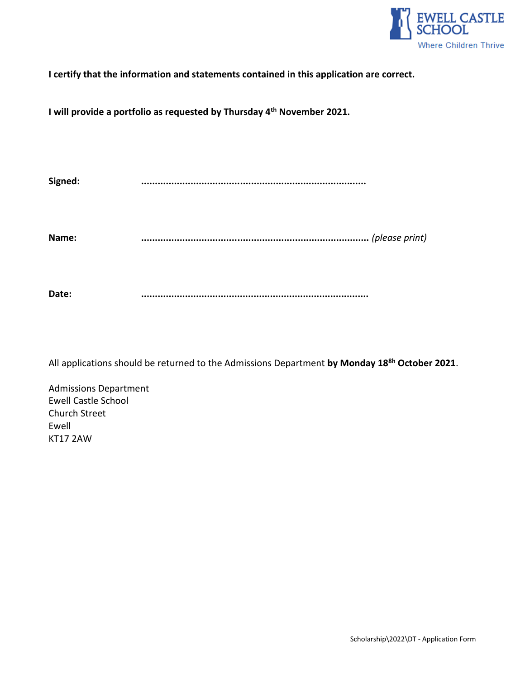

**I certify that the information and statements contained in this application are correct.**

**I will provide a portfolio as requested by Thursday 4 th November 2021.**

**Signed: ..................................................................................** 

**Name: ...................................................................................** *(please print)*

**Date: ...................................................................................**

All applications should be returned to the Admissions Department **by Monday 18 8h October 2021**.

Admissions Department Ewell Castle School Church Street Ewell KT17 2AW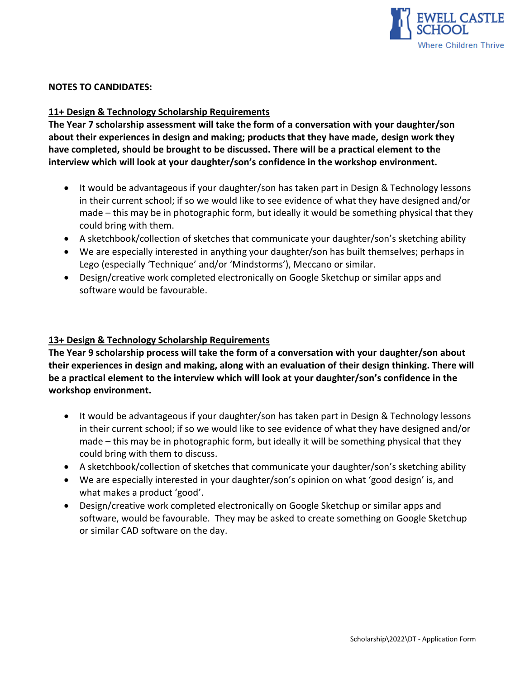

#### **NOTES TO CANDIDATES:**

#### **11+ Design & Technology Scholarship Requirements**

**The Year 7 scholarship assessment will take the form of a conversation with your daughter/son about their experiences in design and making; products that they have made, design work they have completed, should be brought to be discussed. There will be a practical element to the interview which will look at your daughter/son's confidence in the workshop environment.** 

- It would be advantageous if your daughter/son has taken part in Design & Technology lessons in their current school; if so we would like to see evidence of what they have designed and/or made – this may be in photographic form, but ideally it would be something physical that they could bring with them.
- A sketchbook/collection of sketches that communicate your daughter/son's sketching ability
- We are especially interested in anything your daughter/son has built themselves; perhaps in Lego (especially 'Technique' and/or 'Mindstorms'), Meccano or similar.
- Design/creative work completed electronically on Google Sketchup or similar apps and software would be favourable.

#### **13+ Design & Technology Scholarship Requirements**

**The Year 9 scholarship process will take the form of a conversation with your daughter/son about their experiences in design and making, along with an evaluation of their design thinking. There will be a practical element to the interview which will look at your daughter/son's confidence in the workshop environment.** 

- It would be advantageous if your daughter/son has taken part in Design & Technology lessons in their current school; if so we would like to see evidence of what they have designed and/or made – this may be in photographic form, but ideally it will be something physical that they could bring with them to discuss.
- A sketchbook/collection of sketches that communicate your daughter/son's sketching ability
- We are especially interested in your daughter/son's opinion on what 'good design' is, and what makes a product 'good'.
- Design/creative work completed electronically on Google Sketchup or similar apps and software, would be favourable. They may be asked to create something on Google Sketchup or similar CAD software on the day.